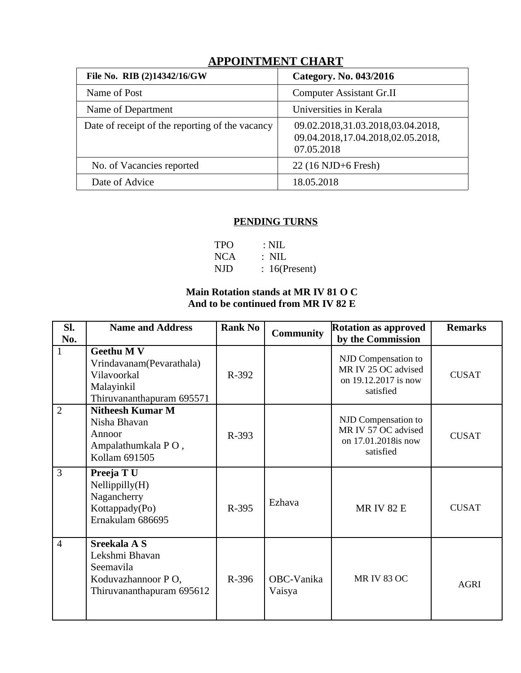| File No. RIB (2)14342/16/GW                     | Category. No. 043/2016                                                               |  |  |  |  |  |
|-------------------------------------------------|--------------------------------------------------------------------------------------|--|--|--|--|--|
| Name of Post                                    | <b>Computer Assistant Gr.II</b>                                                      |  |  |  |  |  |
| Name of Department                              | Universities in Kerala                                                               |  |  |  |  |  |
| Date of receipt of the reporting of the vacancy | 09.02.2018,31.03.2018,03.04.2018,<br>09.04.2018,17.04.2018,02.05.2018,<br>07.05.2018 |  |  |  |  |  |
| No. of Vacancies reported                       | 22 (16 NJD+6 Fresh)                                                                  |  |  |  |  |  |
| Date of Advice                                  | 18.05.2018                                                                           |  |  |  |  |  |
|                                                 |                                                                                      |  |  |  |  |  |

# **APPOINTMENT CHART**

### **PENDING TURNS**

| <b>TPO</b> | $\therefore$ NIL |
|------------|------------------|
| <b>NCA</b> | : NIL            |
| NJD        | $: 16$ (Present) |

### **Main Rotation stands at MR IV 81 O C And to be continued from MR IV 82 E**

| SI.<br>No.     | <b>Name and Address</b>                                                                                 | <b>Rank No</b> | <b>Community</b>     | <b>Rotation as approved</b><br>by the Commission                                | <b>Remarks</b> |
|----------------|---------------------------------------------------------------------------------------------------------|----------------|----------------------|---------------------------------------------------------------------------------|----------------|
| $\mathbf{1}$   | <b>Geethu M V</b><br>Vrindavanam(Pevarathala)<br>Vilavoorkal<br>Malayinkil<br>Thiruvananthapuram 695571 | R-392          |                      | NJD Compensation to<br>MR IV 25 OC advised<br>on 19.12.2017 is now<br>satisfied | <b>CUSAT</b>   |
| $\overline{2}$ | <b>Nitheesh Kumar M</b><br>Nisha Bhavan<br>Annoor<br>Ampalathumkala PO,<br>Kollam 691505                | R-393          |                      | NJD Compensation to<br>MR IV 57 OC advised<br>on 17.01.2018is now<br>satisfied  | <b>CUSAT</b>   |
| 3              | Preeja TU<br>Nellippilly(H)<br>Nagancherry<br>Kottappady(Po)<br>Ernakulam 686695                        | R-395          | Ezhava               | <b>MRIV 82 E</b>                                                                | <b>CUSAT</b>   |
| $\overline{4}$ | Sreekala A S<br>Lekshmi Bhavan<br>Seemavila<br>Koduvazhannoor PO,<br>Thiruvananthapuram 695612          | R-396          | OBC-Vanika<br>Vaisya | <b>MR IV 83 OC</b>                                                              | <b>AGRI</b>    |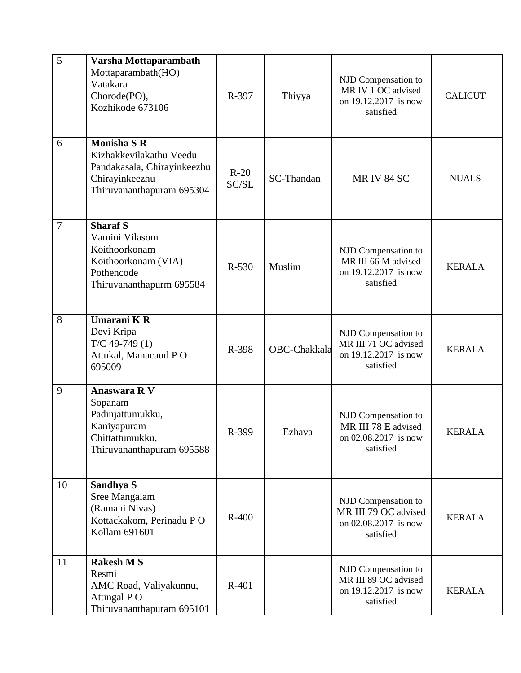| 5              | Varsha Mottaparambath<br>Mottaparambath(HO)<br>Vatakara<br>Chorode(PO),<br>Kozhikode 673106                                 | R-397           | Thiyya       | NJD Compensation to<br>MR IV 1 OC advised<br>on 19.12.2017 is now<br>satisfied   | <b>CALICUT</b> |
|----------------|-----------------------------------------------------------------------------------------------------------------------------|-----------------|--------------|----------------------------------------------------------------------------------|----------------|
| $6\phantom{1}$ | <b>Monisha S R</b><br>Kizhakkevilakathu Veedu<br>Pandakasala, Chirayinkeezhu<br>Chirayinkeezhu<br>Thiruvananthapuram 695304 | $R-20$<br>SC/SL | SC-Thandan   | <b>MR IV 84 SC</b>                                                               | <b>NUALS</b>   |
| $\overline{7}$ | <b>Sharaf S</b><br>Vamini Vilasom<br>Koithoorkonam<br>Koithoorkonam (VIA)<br>Pothencode<br>Thiruvananthapurm 695584         | R-530           | Muslim       | NJD Compensation to<br>MR III 66 M advised<br>on 19.12.2017 is now<br>satisfied  | <b>KERALA</b>  |
| 8              | Umarani KR<br>Devi Kripa<br>$T/C$ 49-749 $(1)$<br>Attukal, Manacaud PO<br>695009                                            | R-398           | OBC-Chakkala | NJD Compensation to<br>MR III 71 OC advised<br>on 19.12.2017 is now<br>satisfied | <b>KERALA</b>  |
| 9              | Anaswara R V<br>Sopanam<br>Padinjattumukku,<br>Kaniyapuram<br>Chittattumukku,<br>Thiruvananthapuram 695588                  | R-399           | Ezhava       | NJD Compensation to<br>MR III 78 E advised<br>on 02.08.2017 is now<br>satisfied  | <b>KERALA</b>  |
| 10             | Sandhya S<br>Sree Mangalam<br>(Ramani Nivas)<br>Kottackakom, Perinadu PO<br>Kollam 691601                                   | $R-400$         |              | NJD Compensation to<br>MR III 79 OC advised<br>on 02.08.2017 is now<br>satisfied | <b>KERALA</b>  |
| 11             | <b>Rakesh MS</b><br>Resmi<br>AMC Road, Valiyakunnu,<br>Attingal PO<br>Thiruvananthapuram 695101                             | R-401           |              | NJD Compensation to<br>MR III 89 OC advised<br>on 19.12.2017 is now<br>satisfied | <b>KERALA</b>  |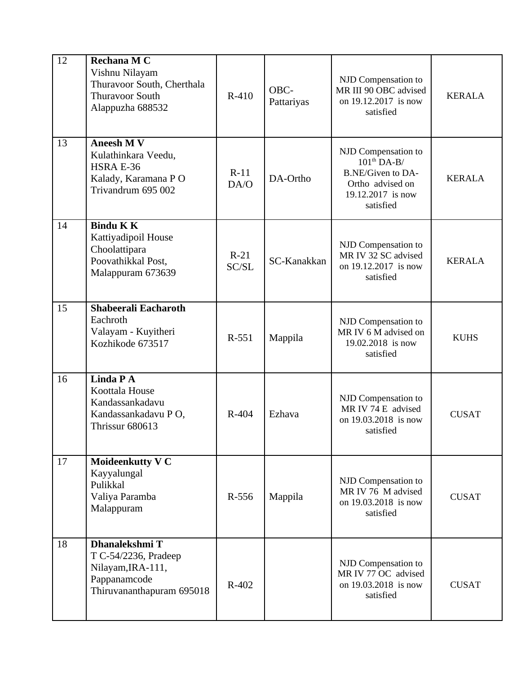| 12 | Rechana M C<br>Vishnu Nilayam<br>Thuravoor South, Cherthala<br><b>Thuravoor South</b><br>Alappuzha 688532 | $R-410$         | OBC-<br>Pattariyas | NJD Compensation to<br>MR III 90 OBC advised<br>on 19.12.2017 is now<br>satisfied                               | <b>KERALA</b> |
|----|-----------------------------------------------------------------------------------------------------------|-----------------|--------------------|-----------------------------------------------------------------------------------------------------------------|---------------|
| 13 | <b>Aneesh M V</b><br>Kulathinkara Veedu,<br><b>HSRA E-36</b><br>Kalady, Karamana PO<br>Trivandrum 695 002 | $R-11$<br>DA/O  | DA-Ortho           | NJD Compensation to<br>$101th DA-B/$<br>B.NE/Given to DA-<br>Ortho advised on<br>19.12.2017 is now<br>satisfied | <b>KERALA</b> |
| 14 | <b>Bindu KK</b><br>Kattiyadipoil House<br>Choolattipara<br>Poovathikkal Post,<br>Malappuram 673639        | $R-21$<br>SC/SL | SC-Kanakkan        | NJD Compensation to<br>MR IV 32 SC advised<br>on 19.12.2017 is now<br>satisfied                                 | <b>KERALA</b> |
| 15 | Shabeerali Eacharoth<br>Eachroth<br>Valayam - Kuyitheri<br>Kozhikode 673517                               | R-551           | Mappila            | NJD Compensation to<br>MR IV 6 M advised on<br>19.02.2018 is now<br>satisfied                                   | <b>KUHS</b>   |
| 16 | Linda P A<br>Koottala House<br>Kandassankadavu<br>Kandassankadavu PO,<br>Thrissur 680613                  | R-404           | Ezhava             | NJD Compensation to<br>MR IV 74 E advised<br>on 19.03.2018 is now<br>satisfied                                  | <b>CUSAT</b>  |
| 17 | <b>Moideenkutty V C</b><br>Kayyalungal<br>Pulikkal<br>Valiya Paramba<br>Malappuram                        | $R-556$         | Mappila            | NJD Compensation to<br>MR IV 76 M advised<br>on 19.03.2018 is now<br>satisfied                                  | <b>CUSAT</b>  |
| 18 | Dhanalekshmi T<br>T C-54/2236, Pradeep<br>Nilayam, IRA-111,<br>Pappanamcode<br>Thiruvananthapuram 695018  | $R-402$         |                    | NJD Compensation to<br>MR IV 77 OC advised<br>on 19.03.2018 is now<br>satisfied                                 | <b>CUSAT</b>  |